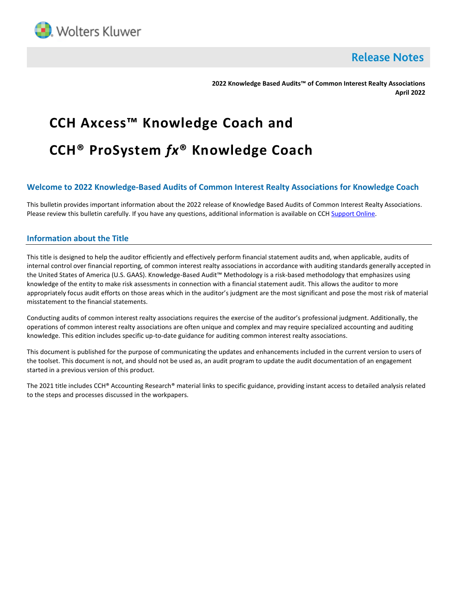

**Release Notes** 

**2022 Knowledge Based Audits™ of Common Interest Realty Associations April 2022**

# **CCH Axcess™ Knowledge Coach and CCH® ProSystem** *fx***® Knowledge Coach**

# **Welcome to 2022 Knowledge-Based Audits of Common Interest Realty Associations for Knowledge Coach**

This bulletin provides important information about the 2022 release of Knowledge Based Audits of Common Interest Realty Associations. Please review this bulletin carefully. If you have any questions, additional information is available on CCH [Support Online.](http://support.cch.com/productsupport/)

# **Information about the Title**

This title is designed to help the auditor efficiently and effectively perform financial statement audits and, when applicable, audits of internal control over financial reporting, of common interest realty associations in accordance with auditing standards generally accepted in the United States of America (U.S. GAAS). Knowledge-Based Audit™ Methodology is a risk-based methodology that emphasizes using knowledge of the entity to make risk assessments in connection with a financial statement audit. This allows the auditor to more appropriately focus audit efforts on those areas which in the auditor's judgment are the most significant and pose the most risk of material misstatement to the financial statements.

Conducting audits of common interest realty associations requires the exercise of the auditor's professional judgment. Additionally, the operations of common interest realty associations are often unique and complex and may require specialized accounting and auditing knowledge. This edition includes specific up-to-date guidance for auditing common interest realty associations.

This document is published for the purpose of communicating the updates and enhancements included in the current version to users of the toolset. This document is not, and should not be used as, an audit program to update the audit documentation of an engagement started in a previous version of this product.

The 2021 title includes CCH® Accounting Research® material links to specific guidance, providing instant access to detailed analysis related to the steps and processes discussed in the workpapers.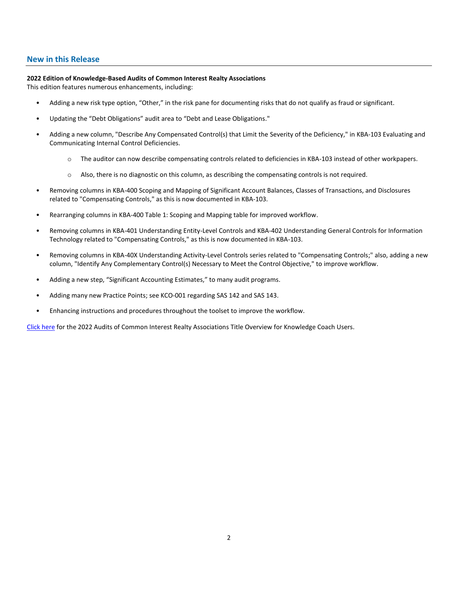## **New in this Release**

#### **2022 Edition of Knowledge-Based Audits of Common Interest Realty Associations**

This edition features numerous enhancements, including:

- Adding a new risk type option, "Other," in the risk pane for documenting risks that do not qualify as fraud or significant.
- Updating the "Debt Obligations" audit area to "Debt and Lease Obligations."
- Adding a new column, "Describe Any Compensated Control(s) that Limit the Severity of the Deficiency," in KBA-103 Evaluating and Communicating Internal Control Deficiencies.
	- o The auditor can now describe compensating controls related to deficiencies in KBA-103 instead of other workpapers.
	- o Also, there is no diagnostic on this column, as describing the compensating controls is not required.
- Removing columns in KBA-400 Scoping and Mapping of Significant Account Balances, Classes of Transactions, and Disclosures related to "Compensating Controls," as this is now documented in KBA-103.
- Rearranging columns in KBA-400 Table 1: Scoping and Mapping table for improved workflow.
- Removing columns in KBA-401 Understanding Entity-Level Controls and KBA-402 Understanding General Controls for Information Technology related to "Compensating Controls," as this is now documented in KBA-103.
- Removing columns in KBA-40X Understanding Activity-Level Controls series related to "Compensating Controls;" also, adding a new column, "Identify Any Complementary Control(s) Necessary to Meet the Control Objective," to improve workflow.
- Adding a new step, "Significant Accounting Estimates," to many audit programs.
- Adding many new Practice Points; see KCO-001 regarding SAS 142 and SAS 143.
- Enhancing instructions and procedures throughout the toolset to improve the workflow.

[Click here](http://d2iceilwdglxpz.cloudfront.net/KC/Overviews/2022%20CIRA%20Audit%20Title%20Overview%20for%20Knowledge%20Coach%20Users.pdf) for the 2022 Audits of Common Interest Realty Associations Title Overview for Knowledge Coach Users.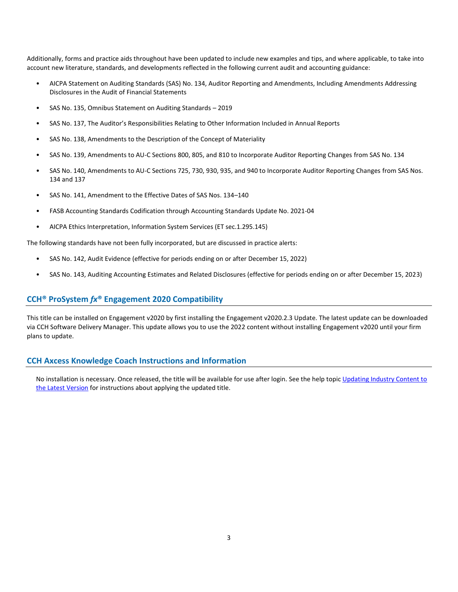Additionally, forms and practice aids throughout have been updated to include new examples and tips, and where applicable, to take into account new literature, standards, and developments reflected in the following current audit and accounting guidance:

- AICPA Statement on Auditing Standards (SAS) No. 134, Auditor Reporting and Amendments, Including Amendments Addressing Disclosures in the Audit of Financial Statements
- SAS No. 135, Omnibus Statement on Auditing Standards 2019
- SAS No. 137, The Auditor's Responsibilities Relating to Other Information Included in Annual Reports
- SAS No. 138, Amendments to the Description of the Concept of Materiality
- SAS No. 139, Amendments to AU-C Sections 800, 805, and 810 to Incorporate Auditor Reporting Changes from SAS No. 134
- SAS No. 140, Amendments to AU-C Sections 725, 730, 930, 935, and 940 to Incorporate Auditor Reporting Changes from SAS Nos. 134 and 137
- SAS No. 141, Amendment to the Effective Dates of SAS Nos. 134–140
- FASB Accounting Standards Codification through Accounting Standards Update No. 2021-04
- AICPA Ethics Interpretation, Information System Services (ET sec.1.295.145)

The following standards have not been fully incorporated, but are discussed in practice alerts:

- SAS No. 142, Audit Evidence (effective for periods ending on or after December 15, 2022)
- SAS No. 143, Auditing Accounting Estimates and Related Disclosures (effective for periods ending on or after December 15, 2023)

# **CCH® ProSystem** *fx***® Engagement 2020 Compatibility**

This title can be installed on Engagement v2020 by first installing the Engagement v2020.2.3 Update. The latest update can be downloaded via CCH Software Delivery Manager. This update allows you to use the 2022 content without installing Engagement v2020 until your firm plans to update.

## **CCH Axcess Knowledge Coach Instructions and Information**

No installation is necessary. Once released, the title will be available for use after login. See the help topic Updating Industry Content to [the Latest Version](https://knowledgecoach.cchaxcess.com/Knowledge-Coach/Content/Engagements/Eng-Update-content.htm) for instructions about applying the updated title.